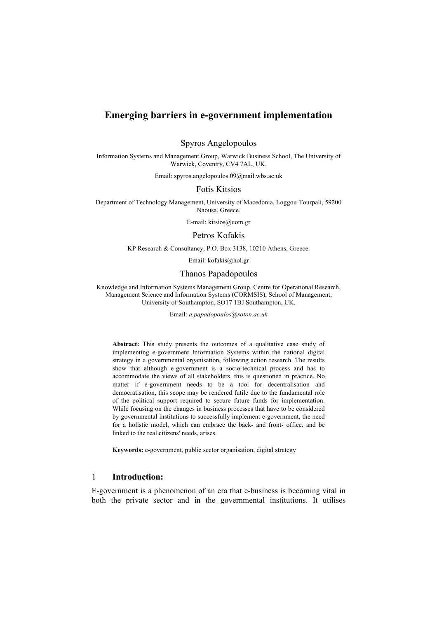# **Emerging barriers in e-government implementation**

Spyros Angelopoulos

Information Systems and Management Group, Warwick Business School, The University of Warwick, Coventry, CV4 7AL, UK.

Email: spyros.angelopoulos.09@mail.wbs.ac.uk

#### Fotis Kitsios

Department of Technology Management, University of Macedonia, Loggou-Tourpali, 59200 Naousa, Greece.

E-mail: kitsios@uom.gr

#### Petros Kofakis

#### KP Research & Consultancy, P.O. Box 3138, 10210 Athens, Greece.

Email: kofakis@hol.gr

#### Thanos Papadopoulos

Knowledge and Information Systems Management Group, Centre for Operational Research, Management Science and Information Systems (CORMSIS), School of Management, University of Southampton, SO17 1BJ Southampton, UK.

Email: *a.papadopoulos@soton.ac.uk*

**Abstract:** This study presents the outcomes of a qualitative case study of implementing e-government Information Systems within the national digital strategy in a governmental organisation, following action research. The results show that although e-government is a socio-technical process and has to accommodate the views of all stakeholders, this is questioned in practice. No matter if e-government needs to be a tool for decentralisation and democratisation, this scope may be rendered futile due to the fundamental role of the political support required to secure future funds for implementation. While focusing on the changes in business processes that have to be considered by governmental institutions to successfully implement e-government, the need for a holistic model, which can embrace the back- and front- office, and be linked to the real citizens' needs, arises.

**Keywords:** e-government, public sector organisation, digital strategy

## 1 **Introduction:**

E-government is a phenomenon of an era that e-business is becoming vital in both the private sector and in the governmental institutions. It utilises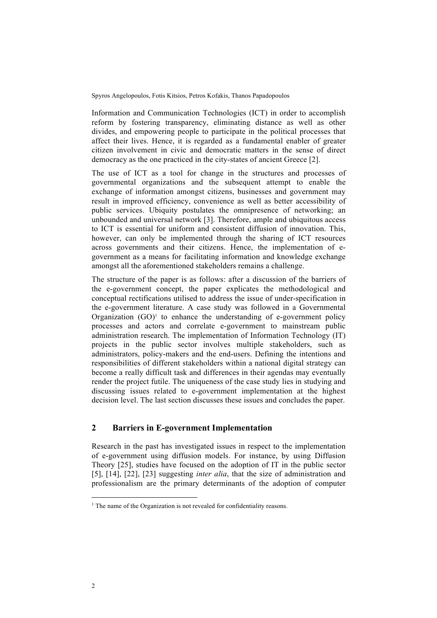Information and Communication Technologies (ICT) in order to accomplish reform by fostering transparency, eliminating distance as well as other divides, and empowering people to participate in the political processes that affect their lives. Hence, it is regarded as a fundamental enabler of greater citizen involvement in civic and democratic matters in the sense of direct democracy as the one practiced in the city-states of ancient Greece [2].

The use of ICT as a tool for change in the structures and processes of governmental organizations and the subsequent attempt to enable the exchange of information amongst citizens, businesses and government may result in improved efficiency, convenience as well as better accessibility of public services. Ubiquity postulates the omnipresence of networking; an unbounded and universal network [3]. Therefore, ample and ubiquitous access to ICT is essential for uniform and consistent diffusion of innovation. This, however, can only be implemented through the sharing of ICT resources across governments and their citizens. Hence, the implementation of egovernment as a means for facilitating information and knowledge exchange amongst all the aforementioned stakeholders remains a challenge.

The structure of the paper is as follows: after a discussion of the barriers of the e-government concept, the paper explicates the methodological and conceptual rectifications utilised to address the issue of under-specification in the e-government literature. A case study was followed in a Governmental Organization  $(GO)^1$  to enhance the understanding of e-government policy processes and actors and correlate e-government to mainstream public administration research. The implementation of Information Technology (IT) projects in the public sector involves multiple stakeholders, such as administrators, policy-makers and the end-users. Defining the intentions and responsibilities of different stakeholders within a national digital strategy can become a really difficult task and differences in their agendas may eventually render the project futile. The uniqueness of the case study lies in studying and discussing issues related to e-government implementation at the highest decision level. The last section discusses these issues and concludes the paper.

# **2 Barriers in E-government Implementation**

Research in the past has investigated issues in respect to the implementation of e-government using diffusion models. For instance, by using Diffusion Theory [25], studies have focused on the adoption of IT in the public sector [5], [14], [22], [23] suggesting *inter alia*, that the size of administration and professionalism are the primary determinants of the adoption of computer

<sup>&</sup>lt;sup>1</sup> The name of the Organization is not revealed for confidentiality reasons.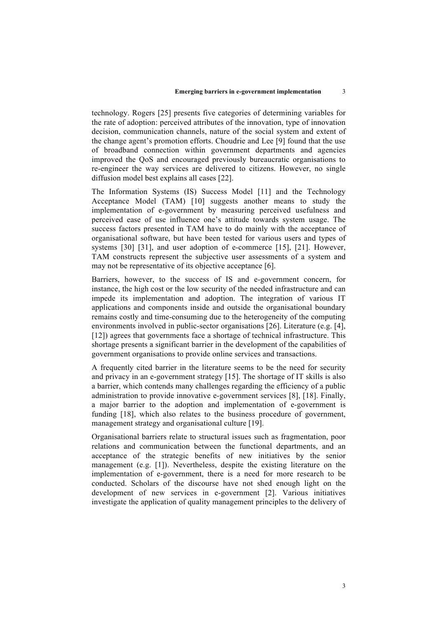technology. Rogers [25] presents five categories of determining variables for the rate of adoption: perceived attributes of the innovation, type of innovation decision, communication channels, nature of the social system and extent of the change agent's promotion efforts. Choudrie and Lee [9] found that the use of broadband connection within government departments and agencies improved the QoS and encouraged previously bureaucratic organisations to re-engineer the way services are delivered to citizens. However, no single diffusion model best explains all cases [22].

The Information Systems (IS) Success Model [11] and the Technology Acceptance Model (TAM) [10] suggests another means to study the implementation of e-government by measuring perceived usefulness and perceived ease of use influence one's attitude towards system usage. The success factors presented in TAM have to do mainly with the acceptance of organisational software, but have been tested for various users and types of systems [30] [31], and user adoption of e-commerce [15], [21]. However, TAM constructs represent the subjective user assessments of a system and may not be representative of its objective acceptance [6].

Barriers, however, to the success of IS and e-government concern, for instance, the high cost or the low security of the needed infrastructure and can impede its implementation and adoption. The integration of various IT applications and components inside and outside the organisational boundary remains costly and time-consuming due to the heterogeneity of the computing environments involved in public-sector organisations [26]. Literature (e.g. [4], [12]) agrees that governments face a shortage of technical infrastructure. This shortage presents a significant barrier in the development of the capabilities of government organisations to provide online services and transactions.

A frequently cited barrier in the literature seems to be the need for security and privacy in an e-government strategy [15]. The shortage of IT skills is also a barrier, which contends many challenges regarding the efficiency of a public administration to provide innovative e-government services [8], [18]. Finally, a major barrier to the adoption and implementation of e-government is funding [18], which also relates to the business procedure of government, management strategy and organisational culture [19].

Organisational barriers relate to structural issues such as fragmentation, poor relations and communication between the functional departments, and an acceptance of the strategic benefits of new initiatives by the senior management (e.g. [1]). Nevertheless, despite the existing literature on the implementation of e-government, there is a need for more research to be conducted. Scholars of the discourse have not shed enough light on the development of new services in e-government [2]. Various initiatives investigate the application of quality management principles to the delivery of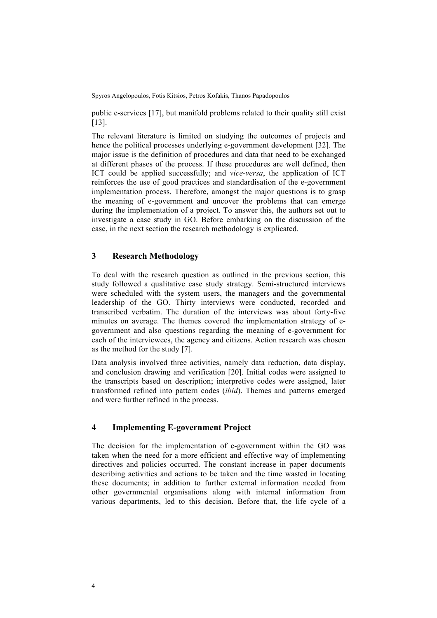public e-services [17], but manifold problems related to their quality still exist [13].

The relevant literature is limited on studying the outcomes of projects and hence the political processes underlying e-government development [32]. The major issue is the definition of procedures and data that need to be exchanged at different phases of the process. If these procedures are well defined, then ICT could be applied successfully; and *vice-versa*, the application of ICT reinforces the use of good practices and standardisation of the e-government implementation process. Therefore, amongst the major questions is to grasp the meaning of e-government and uncover the problems that can emerge during the implementation of a project. To answer this, the authors set out to investigate a case study in GO. Before embarking on the discussion of the case, in the next section the research methodology is explicated.

# **3 Research Methodology**

To deal with the research question as outlined in the previous section, this study followed a qualitative case study strategy. Semi-structured interviews were scheduled with the system users, the managers and the governmental leadership of the GO. Thirty interviews were conducted, recorded and transcribed verbatim. The duration of the interviews was about forty-five minutes on average. The themes covered the implementation strategy of egovernment and also questions regarding the meaning of e-government for each of the interviewees, the agency and citizens. Action research was chosen as the method for the study [7].

Data analysis involved three activities, namely data reduction, data display, and conclusion drawing and verification [20]. Initial codes were assigned to the transcripts based on description; interpretive codes were assigned, later transformed refined into pattern codes (*ibid*). Themes and patterns emerged and were further refined in the process.

### **4 Implementing E-government Project**

The decision for the implementation of e-government within the GO was taken when the need for a more efficient and effective way of implementing directives and policies occurred. The constant increase in paper documents describing activities and actions to be taken and the time wasted in locating these documents; in addition to further external information needed from other governmental organisations along with internal information from various departments, led to this decision. Before that, the life cycle of a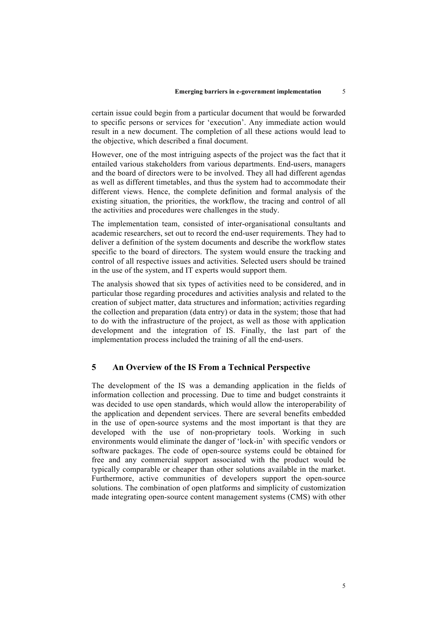certain issue could begin from a particular document that would be forwarded to specific persons or services for 'execution'. Any immediate action would result in a new document. The completion of all these actions would lead to the objective, which described a final document.

However, one of the most intriguing aspects of the project was the fact that it entailed various stakeholders from various departments. End-users, managers and the board of directors were to be involved. They all had different agendas as well as different timetables, and thus the system had to accommodate their different views. Hence, the complete definition and formal analysis of the existing situation, the priorities, the workflow, the tracing and control of all the activities and procedures were challenges in the study.

The implementation team, consisted of inter-organisational consultants and academic researchers, set out to record the end-user requirements. They had to deliver a definition of the system documents and describe the workflow states specific to the board of directors. The system would ensure the tracking and control of all respective issues and activities. Selected users should be trained in the use of the system, and IT experts would support them.

The analysis showed that six types of activities need to be considered, and in particular those regarding procedures and activities analysis and related to the creation of subject matter, data structures and information; activities regarding the collection and preparation (data entry) or data in the system; those that had to do with the infrastructure of the project, as well as those with application development and the integration of IS. Finally, the last part of the implementation process included the training of all the end-users.

### **5 An Overview of the IS From a Technical Perspective**

The development of the IS was a demanding application in the fields of information collection and processing. Due to time and budget constraints it was decided to use open standards, which would allow the interoperability of the application and dependent services. There are several benefits embedded in the use of open-source systems and the most important is that they are developed with the use of non-proprietary tools. Working in such environments would eliminate the danger of 'lock-in' with specific vendors or software packages. The code of open-source systems could be obtained for free and any commercial support associated with the product would be typically comparable or cheaper than other solutions available in the market. Furthermore, active communities of developers support the open-source solutions. The combination of open platforms and simplicity of customization made integrating open-source content management systems (CMS) with other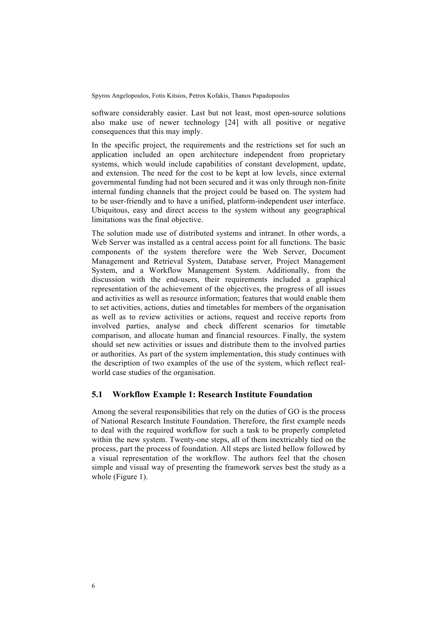software considerably easier. Last but not least, most open-source solutions also make use of newer technology [24] with all positive or negative consequences that this may imply.

In the specific project, the requirements and the restrictions set for such an application included an open architecture independent from proprietary systems, which would include capabilities of constant development, update, and extension. The need for the cost to be kept at low levels, since external governmental funding had not been secured and it was only through non-finite internal funding channels that the project could be based on. The system had to be user-friendly and to have a unified, platform-independent user interface. Ubiquitous, easy and direct access to the system without any geographical limitations was the final objective.

The solution made use of distributed systems and intranet. In other words, a Web Server was installed as a central access point for all functions. The basic components of the system therefore were the Web Server, Document Management and Retrieval System, Database server, Project Management System, and a Workflow Management System. Additionally, from the discussion with the end-users, their requirements included a graphical representation of the achievement of the objectives, the progress of all issues and activities as well as resource information; features that would enable them to set activities, actions, duties and timetables for members of the organisation as well as to review activities or actions, request and receive reports from involved parties, analyse and check different scenarios for timetable comparison, and allocate human and financial resources. Finally, the system should set new activities or issues and distribute them to the involved parties or authorities. As part of the system implementation, this study continues with the description of two examples of the use of the system, which reflect realworld case studies of the organisation.

### **5.1 Workflow Example 1: Research Institute Foundation**

Among the several responsibilities that rely on the duties of GO is the process of National Research Institute Foundation. Therefore, the first example needs to deal with the required workflow for such a task to be properly completed within the new system. Twenty-one steps, all of them inextricably tied on the process, part the process of foundation. All steps are listed bellow followed by a visual representation of the workflow. The authors feel that the chosen simple and visual way of presenting the framework serves best the study as a whole (Figure 1).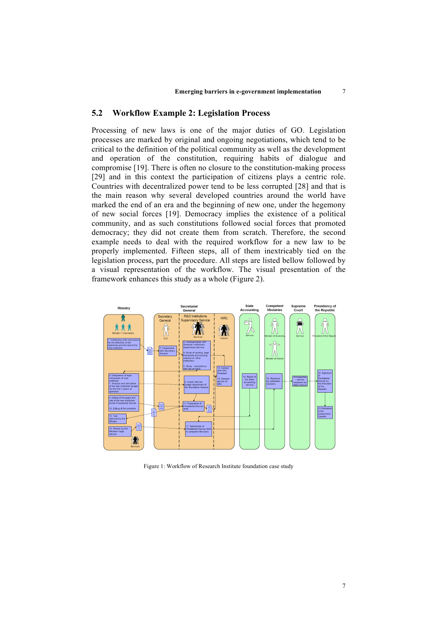#### **5.2 Workflow Example 2: Legislation Process**

Processing of new laws is one of the major duties of GO. Legislation processes are marked by original and ongoing negotiations, which tend to be critical to the definition of the political community as well as the development and operation of the constitution, requiring habits of dialogue and compromise [19]. There is often no closure to the constitution-making process [29] and in this context the participation of citizens plays a centric role. Countries with decentralized power tend to be less corrupted [28] and that is the main reason why several developed countries around the world have marked the end of an era and the beginning of new one, under the hegemony of new social forces [19]. Democracy implies the existence of a political community, and as such constitutions followed social forces that promoted democracy; they did not create them from scratch. Therefore, the second example needs to deal with the required workflow for a new law to be properly implemented. Fifteen steps, all of them inextricably tied on the legislation process, part the procedure. All steps are listed bellow followed by a visual representation of the workflow. The visual presentation of the framework enhances this study as a whole (Figure 2).



Figure 1: Workflow of Research Institute foundation case study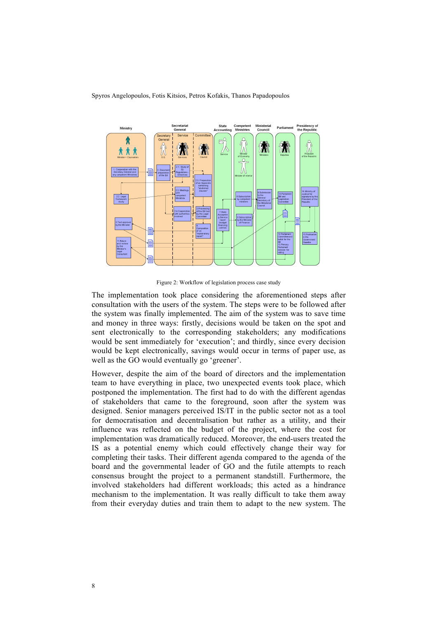

Figure 2: Workflow of legislation process case study

The implementation took place considering the aforementioned steps after consultation with the users of the system. The steps were to be followed after the system was finally implemented. The aim of the system was to save time and money in three ways: firstly, decisions would be taken on the spot and sent electronically to the corresponding stakeholders; any modifications would be sent immediately for 'execution'; and thirdly, since every decision would be kept electronically, savings would occur in terms of paper use, as well as the GO would eventually go 'greener'.

However, despite the aim of the board of directors and the implementation team to have everything in place, two unexpected events took place, which postponed the implementation. The first had to do with the different agendas of stakeholders that came to the foreground, soon after the system was designed. Senior managers perceived IS/IT in the public sector not as a tool for democratisation and decentralisation but rather as a utility, and their influence was reflected on the budget of the project, where the cost for implementation was dramatically reduced. Moreover, the end-users treated the IS as a potential enemy which could effectively change their way for completing their tasks. Their different agenda compared to the agenda of the board and the governmental leader of GO and the futile attempts to reach consensus brought the project to a permanent standstill. Furthermore, the involved stakeholders had different workloads; this acted as a hindrance mechanism to the implementation. It was really difficult to take them away from their everyday duties and train them to adapt to the new system. The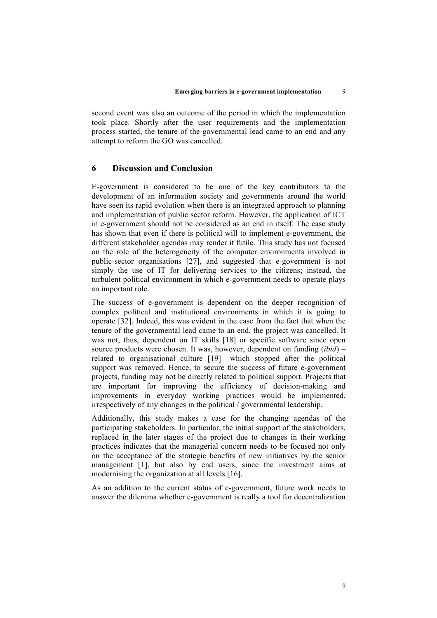second event was also an outcome of the period in which the implementation took place. Shortly after the user requirements and the implementation process started, the tenure of the governmental lead came to an end and any attempt to reform the GO was cancelled.

# **6 Discussion and Conclusion**

E-government is considered to be one of the key contributors to the development of an information society and governments around the world have seen its rapid evolution when there is an integrated approach to planning and implementation of public sector reform. However, the application of ICT in e-government should not be considered as an end in itself. The case study has shown that even if there is political will to implement e-government, the different stakeholder agendas may render it futile. This study has not focused on the role of the heterogeneity of the computer environments involved in public-sector organisations [27], and suggested that e-government is not simply the use of IT for delivering services to the citizens; instead, the turbulent political environment in which e-government needs to operate plays an important role.

The success of e-government is dependent on the deeper recognition of complex political and institutional environments in which it is going to operate [32]. Indeed, this was evident in the case from the fact that when the tenure of the governmental lead came to an end, the project was cancelled. It was not, thus, dependent on IT skills [18] or specific software since open source products were chosen. It was, however, dependent on funding (*ibid*) – related to organisational culture [19]– which stopped after the political support was removed. Hence, to secure the success of future e-government projects, funding may not be directly related to political support. Projects that are important for improving the efficiency of decision-making and improvements in everyday working practices would be implemented, irrespectively of any changes in the political / governmental leadership.

Additionally, this study makes a case for the changing agendas of the participating stakeholders. In particular, the initial support of the stakeholders, replaced in the later stages of the project due to changes in their working practices indicates that the managerial concern needs to be focused not only on the acceptance of the strategic benefits of new initiatives by the senior management [1], but also by end users, since the investment aims at modernising the organization at all levels [16].

As an addition to the current status of e-government, future work needs to answer the dilemma whether e-government is really a tool for decentralization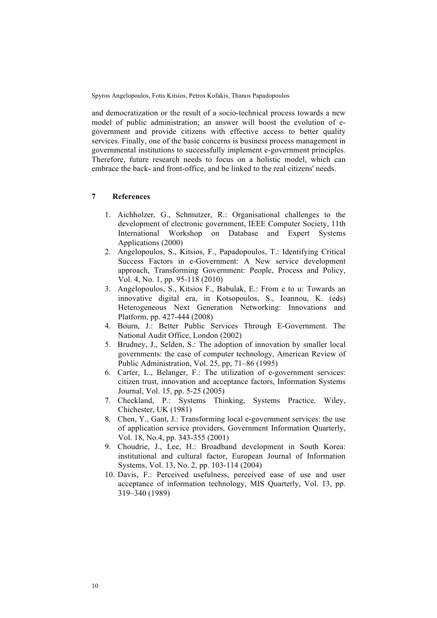and democratization or the result of a socio-technical process towards a new model of public administration; an answer will boost the evolution of egovernment and provide citizens with effective access to better quality services. Finally, one of the basic concerns is business process management in governmental institutions to successfully implement e-government principles. Therefore, future research needs to focus on a holistic model, which can embrace the back- and front-office, and be linked to the real citizens' needs.

#### **7 References**

- 1. Aichholzer, G., Schmutzer, R.: Organisational challenges to the development of electronic government, IEEE Computer Society, 11th International Workshop on Database and Expert Systems Applications (2000)
- 2. Angelopoulos, S., Kitsios, F., Papadopoulos, T.: Identifying Critical Success Factors in e-Government: A New service development approach, Transforming Government: People, Process and Policy, Vol. 4, No. 1, pp. 95-118 (2010)
- 3. Angelopoulos, S., Kitsios F., Babulak, E.: From e to u: Towards an innovative digital era, in Kotsopoulos, S., Ioannou, K. (eds) Heterogeneous Next Generation Networking: Innovations and Platform, pp. 427-444 (2008)
- 4. Bourn, J.: Better Public Services Through E-Government. The National Audit Office, London (2002)
- 5. Brudney, J., Selden, S.: The adoption of innovation by smaller local governments: the case of computer technology, American Review of Public Administration, Vol. 25, pp, 71–86 (1995)
- 6. Carter, L., Belanger, F.: The utilization of e-government services: citizen trust, innovation and acceptance factors, Information Systems Journal, Vol. 15, pp. 5-25 (2005)
- 7. Checkland, P.: Systems Thinking, Systems Practice. Wiley, Chichester, UK (1981)
- 8. Chen, Y., Gant, J.: Transforming local e-government services: the use of application service providers, Government Information Quarterly, Vol. 18, No.4, pp. 343-355 (2001)
- 9. Choudrie, J., Lee, H.: Broadband development in South Korea: institutional and cultural factor, European Journal of Information Systems, Vol. 13, No. 2, pp. 103-114 (2004)
- 10. Davis, F.: Perceived usefulness, perceived ease of use and user acceptance of information technology, MIS Quarterly, Vol. 13, pp. 319–340 (1989)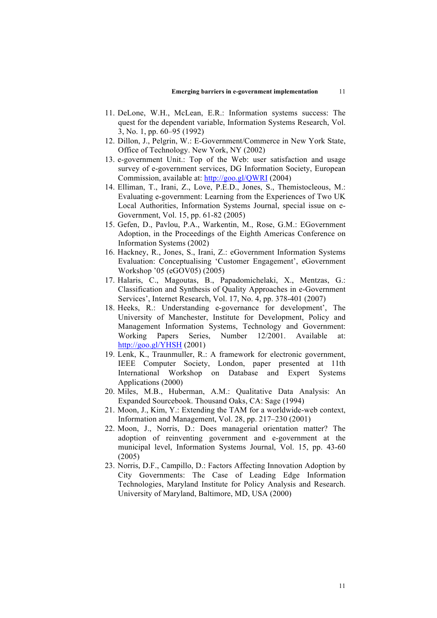- 11. DeLone, W.H., McLean, E.R.: Information systems success: The quest for the dependent variable, Information Systems Research, Vol. 3, No. 1, pp. 60–95 (1992)
- 12. Dillon, J., Pelgrin, W.: E-Government/Commerce in New York State, Office of Technology. New York, NY (2002)
- 13. e-government Unit.: Top of the Web: user satisfaction and usage survey of e-government services, DG Information Society, European Commission, available at: http://goo.gl/QWRI (2004)
- 14. Elliman, T., Irani, Z., Love, P.E.D., Jones, S., Themistocleous, M.: Evaluating e-government: Learning from the Experiences of Two UK Local Authorities, Information Systems Journal, special issue on e-Government, Vol. 15, pp. 61-82 (2005)
- 15. Gefen, D., Pavlou, P.A., Warkentin, M., Rose, G.M.: EGovernment Adoption, in the Proceedings of the Eighth Americas Conference on Information Systems (2002)
- 16. Hackney, R., Jones, S., Irani, Z.: eGovernment Information Systems Evaluation: Conceptualising 'Customer Engagement', eGovernment Workshop '05 (eGOV05) (2005)
- 17. Halaris, C., Magoutas, B., Papadomichelaki, X., Mentzas, G.: Classification and Synthesis of Quality Approaches in e-Government Services', Internet Research, Vol. 17, No. 4, pp. 378-401 (2007)
- 18. Heeks, R.: Understanding e-governance for development', The University of Manchester, Institute for Development, Policy and Management Information Systems, Technology and Government: Working Papers Series, Number 12/2001. Available at: http://goo.gl/YHSH (2001)
- 19. Lenk, K., Traunmuller, R.: A framework for electronic government, IEEE Computer Society, London, paper presented at 11th International Workshop on Database and Expert Systems Applications (2000)
- 20. Miles, M.B., Huberman, A.M.: Qualitative Data Analysis: An Expanded Sourcebook. Thousand Oaks, CA: Sage (1994)
- 21. Moon, J., Kim, Y.: Extending the TAM for a worldwide-web context, Information and Management, Vol. 28, pp. 217–230 (2001)
- 22. Moon, J., Norris, D.: Does managerial orientation matter? The adoption of reinventing government and e-government at the municipal level, Information Systems Journal, Vol. 15, pp. 43-60 (2005)
- 23. Norris, D.F., Campillo, D.: Factors Affecting Innovation Adoption by City Governments: The Case of Leading Edge Information Technologies, Maryland Institute for Policy Analysis and Research. University of Maryland, Baltimore, MD, USA (2000)